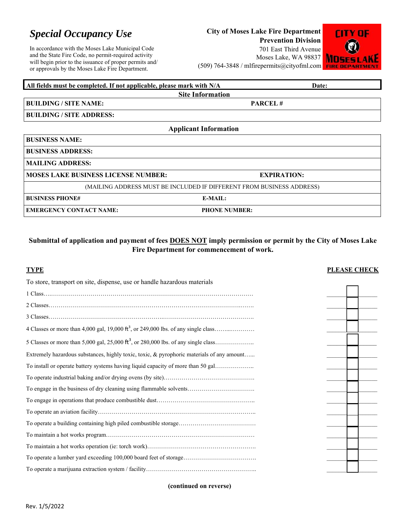# *Special Occupancy Use*

In accordance with the Moses Lake Municipal Code and the State Fire Code, no permit-required activity will begin prior to the issuance of proper permits and/ or approvals by the Moses Lake Fire Department.

## **City of Moses Lake Fire Department**

**Prevention Division**  701 East Third Avenue Moses Lake, WA 98837 (509) 764-3848 / mlfirepermits@cityofml.com



| All fields must be completed. If not applicable, please mark with N/A | Date:                                                                 |  |  |  |  |  |  |  |
|-----------------------------------------------------------------------|-----------------------------------------------------------------------|--|--|--|--|--|--|--|
| <b>Site Information</b>                                               |                                                                       |  |  |  |  |  |  |  |
| <b>BUILDING / SITE NAME:</b>                                          | <b>PARCEL#</b>                                                        |  |  |  |  |  |  |  |
| <b>BUILDING / SITE ADDRESS:</b>                                       |                                                                       |  |  |  |  |  |  |  |
|                                                                       | <b>Applicant Information</b>                                          |  |  |  |  |  |  |  |
| <b>BUSINESS NAME:</b>                                                 |                                                                       |  |  |  |  |  |  |  |
| <b>BUSINESS ADDRESS:</b>                                              |                                                                       |  |  |  |  |  |  |  |
| <b>MAILING ADDRESS:</b>                                               |                                                                       |  |  |  |  |  |  |  |
| <b>MOSES LAKE BUSINESS LICENSE NUMBER:</b>                            | <b>EXPIRATION:</b>                                                    |  |  |  |  |  |  |  |
|                                                                       | (MAILING ADDRESS MUST BE INCLUDED IF DIFFERENT FROM BUSINESS ADDRESS) |  |  |  |  |  |  |  |
| <b>BUSINESS PHONE#</b>                                                | E-MAIL:                                                               |  |  |  |  |  |  |  |
| <b>EMERGENCY CONTACT NAME:</b>                                        | <b>PHONE NUMBER:</b>                                                  |  |  |  |  |  |  |  |

## **Submittal of application and payment of fees DOES NOT imply permission or permit by the City of Moses Lake Fire Department for commencement of work.**

| <b>TYPE</b>                                                                               | <b>PLEASE CHECK</b> |
|-------------------------------------------------------------------------------------------|---------------------|
| To store, transport on site, dispense, use or handle hazardous materials                  |                     |
|                                                                                           |                     |
|                                                                                           |                     |
|                                                                                           |                     |
|                                                                                           |                     |
|                                                                                           |                     |
| Extremely hazardous substances, highly toxic, toxic, & pyrophoric materials of any amount |                     |
| To install or operate battery systems having liquid capacity of more than 50 gal          |                     |
|                                                                                           |                     |
| To engage in the business of dry cleaning using flammable solvents                        |                     |
|                                                                                           |                     |
|                                                                                           |                     |
|                                                                                           |                     |
|                                                                                           |                     |
|                                                                                           |                     |
|                                                                                           |                     |
|                                                                                           |                     |

**(continued on reverse)**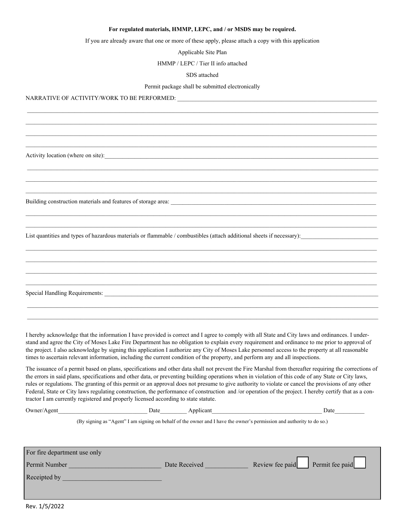#### **For regulated materials, HMMP, LEPC, and / or MSDS may be required.**

If you are already aware that one or more of these apply, please attach a copy with this application

Applicable Site Plan

HMMP / LEPC / Tier II info attached

#### SDS attached

#### Permit package shall be submitted electronically

 $\_$  , and the state of the state of the state of the state of the state of the state of the state of the state of the state of the state of the state of the state of the state of the state of the state of the state of the

 $\mathcal{L} = \{ \mathcal{L} = \{ \mathcal{L} = \{ \mathcal{L} = \{ \mathcal{L} = \{ \mathcal{L} = \{ \mathcal{L} = \{ \mathcal{L} = \{ \mathcal{L} = \{ \mathcal{L} = \{ \mathcal{L} = \{ \mathcal{L} = \{ \mathcal{L} = \{ \mathcal{L} = \{ \mathcal{L} = \{ \mathcal{L} = \{ \mathcal{L} = \{ \mathcal{L} = \{ \mathcal{L} = \{ \mathcal{L} = \{ \mathcal{L} = \{ \mathcal{L} = \{ \mathcal{L} = \{ \mathcal{L} = \{ \mathcal{$  $\mathcal{L} = \{ \mathcal{L} = \{ \mathcal{L} = \{ \mathcal{L} = \{ \mathcal{L} = \{ \mathcal{L} = \{ \mathcal{L} = \{ \mathcal{L} = \{ \mathcal{L} = \{ \mathcal{L} = \{ \mathcal{L} = \{ \mathcal{L} = \{ \mathcal{L} = \{ \mathcal{L} = \{ \mathcal{L} = \{ \mathcal{L} = \{ \mathcal{L} = \{ \mathcal{L} = \{ \mathcal{L} = \{ \mathcal{L} = \{ \mathcal{L} = \{ \mathcal{L} = \{ \mathcal{L} = \{ \mathcal{L} = \{ \mathcal{$ 

NARRATIVE OF ACTIVITY/WORK TO BE PERFORMED: \_\_\_\_\_\_\_\_\_\_\_\_\_\_\_\_\_\_\_\_\_\_\_\_\_\_\_\_\_\_\_\_\_\_\_\_\_\_\_\_\_\_\_\_\_\_\_\_\_\_\_\_\_\_\_\_\_\_\_\_\_\_\_\_\_\_\_

Activity location (where on site):

 $\mathcal{L} = \{ \mathcal{L} = \{ \mathcal{L} = \{ \mathcal{L} = \{ \mathcal{L} = \{ \mathcal{L} = \{ \mathcal{L} = \{ \mathcal{L} = \{ \mathcal{L} = \{ \mathcal{L} = \{ \mathcal{L} = \{ \mathcal{L} = \{ \mathcal{L} = \{ \mathcal{L} = \{ \mathcal{L} = \{ \mathcal{L} = \{ \mathcal{L} = \{ \mathcal{L} = \{ \mathcal{L} = \{ \mathcal{L} = \{ \mathcal{L} = \{ \mathcal{L} = \{ \mathcal{L} = \{ \mathcal{L} = \{ \mathcal{$ 

Building construction materials and features of storage area:

List quantities and types of hazardous materials or flammable / combustibles (attach additional sheets if necessary):

Special Handling Requirements:

I hereby acknowledge that the information I have provided is correct and I agree to comply with all State and City laws and ordinances. I understand and agree the City of Moses Lake Fire Department has no obligation to explain every requirement and ordinance to me prior to approval of the project. I also acknowledge by signing this application I authorize any City of Moses Lake personnel access to the property at all reasonable times to ascertain relevant information, including the current condition of the property, and perform any and all inspections.

The issuance of a permit based on plans, specifications and other data shall not prevent the Fire Marshal from thereafter requiring the corrections of the errors in said plans, specifications and other data, or preventing building operations when in violation of this code of any State or City laws, rules or regulations. The granting of this permit or an approval does not presume to give authority to violate or cancel the provisions of any other Federal, State or City laws regulating construction, the performance of construction and /or operation of the project. I hereby certify that as a contractor I am currently registered and properly licensed according to state statute.

| Owner/Agent                  | Date | Applicant     | Date                                                                                                                  |
|------------------------------|------|---------------|-----------------------------------------------------------------------------------------------------------------------|
|                              |      |               | (By signing as "Agent" I am signing on behalf of the owner and I have the owner's permission and authority to do so.) |
|                              |      |               |                                                                                                                       |
| For fire department use only |      |               |                                                                                                                       |
| Permit Number                |      | Date Received | Review fee paid Permit fee paid                                                                                       |
| Receipted by                 |      |               |                                                                                                                       |
|                              |      |               |                                                                                                                       |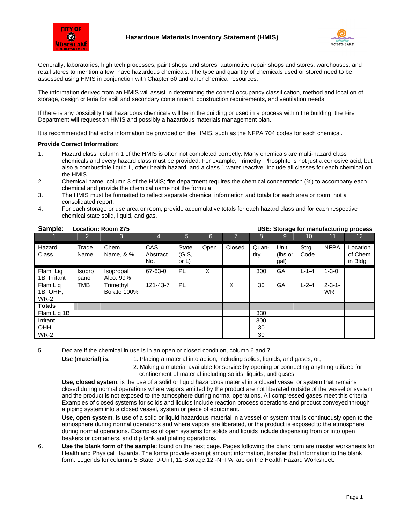



Generally, laboratories, high tech processes, paint shops and stores, automotive repair shops and stores, warehouses, and retail stores to mention a few, have hazardous chemicals. The type and quantity of chemicals used or stored need to be assessed using HMIS in conjunction with Chapter 50 and other chemical resources.

The information derived from an HMIS will assist in determining the correct occupancy classification, method and location of storage, design criteria for spill and secondary containment, construction requirements, and ventilation needs.

If there is any possibility that hazardous chemicals will be in the building or used in a process within the building, the Fire Department will request an HMIS and possibly a hazardous materials management plan.

It is recommended that extra information be provided on the HMIS, such as the NFPA 704 codes for each chemical.

### **Provide Correct Information**:

- 1. Hazard class, column 1 of the HMIS is often not completed correctly. Many chemicals are multi-hazard class chemicals and every hazard class must be provided. For example, Trimethyl Phosphite is not just a corrosive acid, but also a combustible liquid II, other health hazard, and a class 1 water reactive. Include all classes for each chemical on the HMIS.
- 2. Chemical name, column 3 of the HMIS; fire department requires the chemical concentration (%) to accompany each chemical and provide the chemical name not the formula.
- 3. The HMIS must be formatted to reflect separate chemical information and totals for each area or room, not a consolidated report.
- 4. For each storage or use area or room, provide accumulative totals for each hazard class and for each respective chemical state solid, liquid, and gas.

| Sample:                             | Location: Room 275<br>USE: Storage for manufacturing process |                          |                         |                             |      |                |               |                         |              |                            |                                |
|-------------------------------------|--------------------------------------------------------------|--------------------------|-------------------------|-----------------------------|------|----------------|---------------|-------------------------|--------------|----------------------------|--------------------------------|
|                                     | $\overline{2}$                                               | 3 <sup>1</sup>           | 4                       | $\overline{5}$              | 6    | $\overline{7}$ | 8             | 9                       | 10           | 11                         | 12 <sup>°</sup>                |
| Hazard<br>Class                     | Trade<br>Name                                                | Chem<br>Name, & %        | CAS,<br>Abstract<br>No. | State<br>(G, S,<br>or $L$ ) | Open | Closed         | Quan-<br>tity | Unit<br>(lbs or<br>gal) | Strg<br>Code | <b>NFPA</b>                | Location<br>of Chem<br>in Bldg |
| Flam. Lig<br>1B, Irritant           | <b>Isopro</b><br>panol                                       | Isopropal<br>Alco. 99%   | 67-63-0                 | <b>PL</b>                   | X    |                | 300           | GA                      | $L - 1 - 4$  | $1 - 3 - 0$                |                                |
| Flam Lig<br>1B, OHH,<br><b>WR-2</b> | TMB                                                          | Trimethyl<br>Borate 100% | 121-43-7                | PL                          |      | X              | 30            | GA                      | $L - 2 - 4$  | $2 - 3 - 1 -$<br><b>WR</b> |                                |
| <b>Totals</b>                       |                                                              |                          |                         |                             |      |                |               |                         |              |                            |                                |
| Flam Lig 1B                         |                                                              |                          |                         |                             |      |                | 330           |                         |              |                            |                                |
| Irritant                            |                                                              |                          |                         |                             |      |                | 300           |                         |              |                            |                                |
| <b>OHH</b>                          |                                                              |                          |                         |                             |      |                | 30            |                         |              |                            |                                |
| <b>WR-2</b>                         |                                                              |                          |                         |                             |      |                | 30            |                         |              |                            |                                |

5. Declare if the chemical in use is in an open or closed condition, column 6 and 7.

**Use (material) is**: 1. Placing a material into action, including solids, liquids, and gases, or,

2. Making a material available for service by opening or connecting anything utilized for confinement of material including solids, liquids, and gases.

**Use, closed system**, is the use of a solid or liquid hazardous material in a closed vessel or system that remains closed during normal operations where vapors emitted by the product are not liberated outside of the vessel or system and the product is not exposed to the atmosphere during normal operations. All compressed gases meet this criteria. Examples of closed systems for solids and liquids include reaction process operations and product conveyed through a piping system into a closed vessel, system or piece of equipment.

**Use, open system**, is use of a solid or liquid hazardous material in a vessel or system that is continuously open to the atmosphere during normal operations and where vapors are liberated, or the product is exposed to the atmosphere during normal operations. Examples of open systems for solids and liquids include dispensing from or into open beakers or containers, and dip tank and plating operations.

6. **Use the blank form of the sample**: found on the next page. Pages following the blank form are master worksheets for Health and Physical Hazards. The forms provide exempt amount information, transfer that information to the blank form. Legends for columns 5-State, 9-Unit, 11-Storage,12 -NFPA are on the Health Hazard Worksheet.